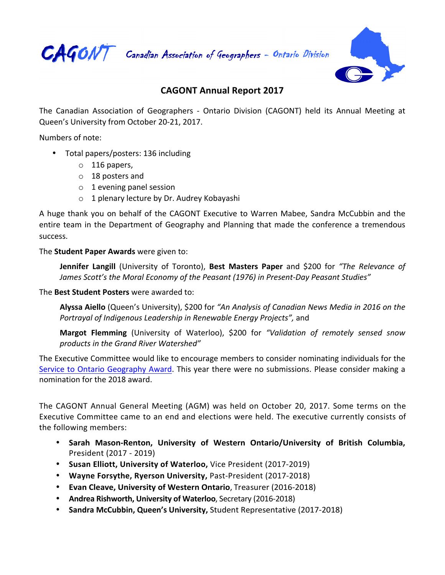

CAGONT Canadian Association of Geographers - Ontario Division



## **CAGONT Annual Report 2017**

The Canadian Association of Geographers - Ontario Division (CAGONT) held its Annual Meeting at Queen's University from October 20-21, 2017.

Numbers of note:

- Total papers/posters: 136 including
	- o 116 papers,
	- o 18 posters and
	- $\circ$  1 evening panel session
	- $\circ$  1 plenary lecture by Dr. Audrey Kobayashi

A huge thank you on behalf of the CAGONT Executive to Warren Mabee, Sandra McCubbin and the entire team in the Department of Geography and Planning that made the conference a tremendous success. 

## The **Student Paper Awards** were given to:

**Jennifer Langill** (University of Toronto), Best Masters Paper and \$200 for "The Relevance of James Scott's the Moral Economy of the Peasant (1976) in Present-Day Peasant Studies"

## **The Best Student Posters** were awarded to:

Alyssa Aiello (Queen's University), \$200 for "An Analysis of Canadian News Media in 2016 on the *Portrayal of Indigenous Leadership in Renewable Energy Projects"*, and

**Margot Flemming** (University of Waterloo), \$200 for "Validation of remotely sensed snow products in the Grand River Watershed"

The Executive Committee would like to encourage members to consider nominating individuals for the Service to Ontario Geography Award. This year there were no submissions. Please consider making a nomination for the 2018 award.

The CAGONT Annual General Meeting (AGM) was held on October 20, 2017. Some terms on the Executive Committee came to an end and elections were held. The executive currently consists of the following members:

- Sarah Mason-Renton, University of Western Ontario/University of British Columbia, President (2017 - 2019)
- Susan Elliott, University of Waterloo, Vice President (2017-2019)
- Wayne Forsythe, Ryerson University, Past-President (2017-2018)
- **Evan Cleave, University of Western Ontario**, Treasurer (2016-2018)
- Andrea Rishworth, University of Waterloo, Secretary (2016-2018)
- Sandra McCubbin, Queen's University, Student Representative (2017-2018)